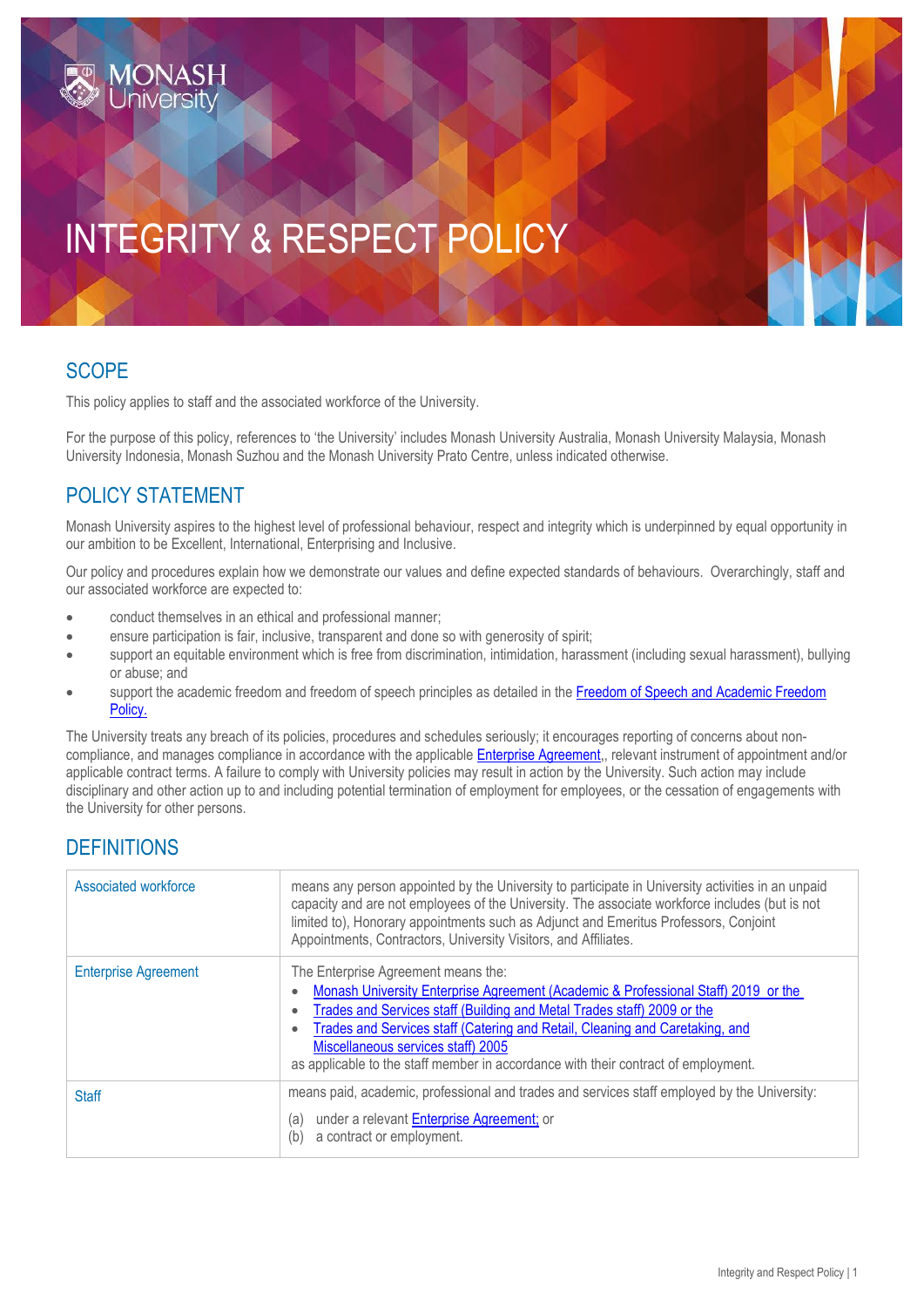# INTEGRITY & RESPECT POLICY

### **SCOPE**

This policy applies to staff and the associated workforce of the University.

For the purpose of this policy, references to 'the University' includes Monash University Australia, Monash University Malaysia, Monash University Indonesia, Monash Suzhou and the Monash University Prato Centre, unless indicated otherwise.

### POLICY STATEMENT

Monash University aspires to the highest level of professional behaviour, respect and integrity which is underpinned by equal opportunity in our ambition to be Excellent, International, Enterprising and Inclusive.

Our policy and procedures explain how we demonstrate our values and define expected standards of behaviours. Overarchingly, staff and our associated workforce are expected to:

- conduct themselves in an ethical and professional manner;
- ensure participation is fair, inclusive, transparent and done so with generosity of spirit;
- support an equitable environment which is free from discrimination, intimidation, harassment (including sexual harassment), bullying or abuse; and
- support the academic freedom and freedom of speech principles as detailed in the Freedom of Speech and Academic Freedom [Policy.](https://publicpolicydms.monash.edu/Monash/documents/1909243)

The University treats any breach of its policies, procedures and schedules seriously; it encourages reporting of concerns about noncompliance, and manages compliance in accordance with the applicabl[e Enterprise Agreement,](https://www.monash.edu/current-enterprise-agreements/academic-professional-2019), relevant instrument of appointment and/or applicable contract terms. A failure to comply with University policies may result in action by the University. Such action may include disciplinary and other action up to and including potential termination of employment for employees, or the cessation of engagements with the University for other persons.

#### **DEFINITIONS**

| Associated workforce        | means any person appointed by the University to participate in University activities in an unpaid<br>capacity and are not employees of the University. The associate workforce includes (but is not<br>limited to), Honorary appointments such as Adjunct and Emeritus Professors, Conjoint<br>Appointments, Contractors, University Visitors, and Affiliates.                                                                                          |
|-----------------------------|---------------------------------------------------------------------------------------------------------------------------------------------------------------------------------------------------------------------------------------------------------------------------------------------------------------------------------------------------------------------------------------------------------------------------------------------------------|
| <b>Enterprise Agreement</b> | The Enterprise Agreement means the:<br>Monash University Enterprise Agreement (Academic & Professional Staff) 2019 or the<br>$\bullet$<br>Trades and Services staff (Building and Metal Trades staff) 2009 or the<br>$\bullet$<br>Trades and Services staff (Catering and Retail, Cleaning and Caretaking, and<br>$\bullet$<br>Miscellaneous services staff) 2005<br>as applicable to the staff member in accordance with their contract of employment. |
| <b>Staff</b>                | means paid, academic, professional and trades and services staff employed by the University:<br>under a relevant Enterprise Agreement; or<br>(a)<br>a contract or employment.<br>(b)                                                                                                                                                                                                                                                                    |